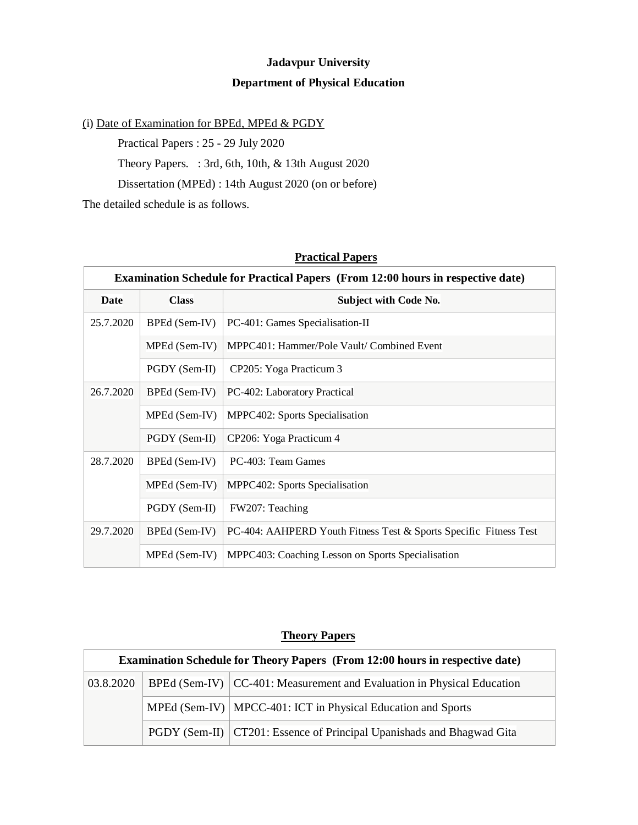## **Jadavpur University Department of Physical Education**

## (i) Date of Examination for BPEd, MPEd & PGDY

Practical Papers : 25 - 29 July 2020

Theory Papers. : 3rd, 6th, 10th, & 13th August 2020

Dissertation (MPEd) : 14th August 2020 (on or before)

The detailed schedule is as follows.

| <b>Examination Schedule for Practical Papers (From 12:00 hours in respective date)</b> |               |                                                                   |  |  |
|----------------------------------------------------------------------------------------|---------------|-------------------------------------------------------------------|--|--|
| <b>Date</b>                                                                            | <b>Class</b>  | <b>Subject with Code No.</b>                                      |  |  |
| 25.7.2020                                                                              | BPEd (Sem-IV) | PC-401: Games Specialisation-II                                   |  |  |
|                                                                                        | MPEd (Sem-IV) | MPPC401: Hammer/Pole Vault/ Combined Event                        |  |  |
|                                                                                        | PGDY (Sem-II) | CP205: Yoga Practicum 3                                           |  |  |
| 26.7.2020                                                                              | BPEd (Sem-IV) | PC-402: Laboratory Practical                                      |  |  |
|                                                                                        | MPEd (Sem-IV) | MPPC402: Sports Specialisation                                    |  |  |
|                                                                                        | PGDY (Sem-II) | CP206: Yoga Practicum 4                                           |  |  |
| 28.7.2020                                                                              | BPEd (Sem-IV) | PC-403: Team Games                                                |  |  |
|                                                                                        | MPEd (Sem-IV) | MPPC402: Sports Specialisation                                    |  |  |
|                                                                                        | PGDY (Sem-II) | FW207: Teaching                                                   |  |  |
| 29.7.2020                                                                              | BPEd (Sem-IV) | PC-404: AAHPERD Youth Fitness Test & Sports Specific Fitness Test |  |  |
|                                                                                        | MPEd (Sem-IV) | MPPC403: Coaching Lesson on Sports Specialisation                 |  |  |

## **Practical Papers**

## **Theory Papers**

| Examination Schedule for Theory Papers (From 12:00 hours in respective date) |  |                                                                          |  |  |
|------------------------------------------------------------------------------|--|--------------------------------------------------------------------------|--|--|
| 03.8.2020                                                                    |  | BPEd (Sem-IV)   CC-401: Measurement and Evaluation in Physical Education |  |  |
|                                                                              |  | MPEd (Sem-IV)   MPCC-401: ICT in Physical Education and Sports           |  |  |
|                                                                              |  | PGDY (Sem-II)   CT201: Essence of Principal Upanishads and Bhagwad Gita  |  |  |